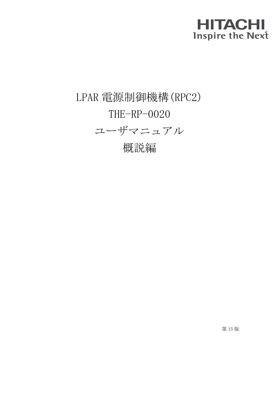## **HITACHI Inspire the Next**

## LPAR 電源制御機構(RPC2) THE-RP-0020 ユーザマニュアル 概説編

第 15 版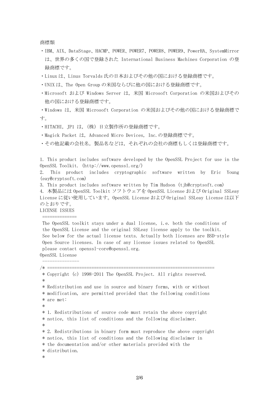商標類

- ・IBM、AIX、DataStage、HACMP、POWER、POWER7、POWER8、POWER9、PowerHA、SystemMirror は、世界の多くの国で登録された International Business Machines Corporation の登 録商標です。
- ・Linux は、Linus Torvalds 氏の日本およびその他の国における登録商標です。
- ・UNIX は、The Open Group の米国ならびに他の国における登録商標です。
- ・Microsoft および Windows Server は,米国 Microsoft Corporation の米国およびその 他の国における登録商標です。

・Windows は,米国 Microsoft Corporation の米国およびその他の国における登録商標で す。

- ·HITACHI, JP1 は、(株) 日立製作所の登録商標です。
- ・Magick Packet は, Advanced Micro Devices, Inc.の登録商標です。
- ・その他記載の会社名,製品名などは,それぞれの会社の商標もしくは登録商標です。

1. This product includes software developed by the OpenSSL Project for use in the OpenSSL Toolkit. (http://www.openssl.org/)

2. This product includes cryptographic software written by Eric Young (eay@cryptsoft.com)

3. This product includes software written by Tim Hudson (tjh@cryptsoft.com)

4. 本製品には OpenSSL Toolkit ソフトウェアを OpenSSL License および Original SSLeay License に従い使用しています。OpenSSL License および Original SSLeay License は以下 のとおりです。

LICENSE ISSUES

==============

The OpenSSL toolkit stays under a dual license, i.e. both the conditions of the OpenSSL License and the original SSLeay license apply to the toolkit. See below for the actual license texts. Actually both licenses are BSD-style Open Source licenses. In case of any license issues related to OpenSSL please contact openssl-core@openssl.org.

OpenSSL License ---------------

/\* ==================================================================== \* Copyright (c) 1998-2011 The OpenSSL Project. All rights reserved. \* \* Redistribution and use in source and binary forms, with or without \* modification, are permitted provided that the following conditions \* are met: \* \* 1. Redistributions of source code must retain the above copyright \* notice, this list of conditions and the following disclaimer. \* \* 2. Redistributions in binary form must reproduce the above copyright \* notice, this list of conditions and the following disclaimer in \* the documentation and/or other materials provided with the \* distribution. \*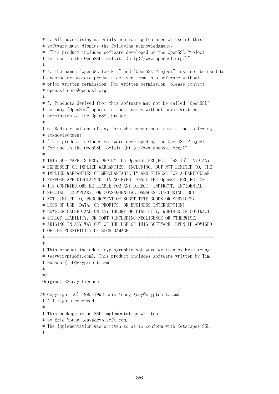```
* 3. All advertising materials mentioning features or use of this
* software must display the following acknowledgment:
* "This product includes software developed by the OpenSSL Project
* for use in the OpenSSL Toolkit. (http://www.openssl.org/)"
 *
* 4. The names "OpenSSL Toolkit" and "OpenSSL Project" must not be used to
* endorse or promote products derived from this software without
* prior written permission. For written permission, please contact
* openssl-core@openssl.org.
 *
* 5. Products derived from this software may not be called "OpenSSL"
* nor may "OpenSSL" appear in their names without prior written
* permission of the OpenSSL Project.
 *
* 6. Redistributions of any form whatsoever must retain the following
* acknowledgment:
* "This product includes software developed by the OpenSSL Project
* for use in the OpenSSL Toolkit (http://www.openssl.org/)"
 *
* THIS SOFTWARE IS PROVIDED BY THE OpenSSL PROJECT ``AS IS'' AND ANY
* EXPRESSED OR IMPLIED WARRANTIES, INCLUDING, BUT NOT LIMITED TO, THE
* IMPLIED WARRANTIES OF MERCHANTABILITY AND FITNESS FOR A PARTICULAR
* PURPOSE ARE DISCLAIMED. IN NO EVENT SHALL THE OpenSSL PROJECT OR
* ITS CONTRIBUTORS BE LIABLE FOR ANY DIRECT, INDIRECT, INCIDENTAL,
* SPECIAL, EXEMPLARY, OR CONSEQUENTIAL DAMAGES (INCLUDING, BUT
* NOT LIMITED TO, PROCUREMENT OF SUBSTITUTE GOODS OR SERVICES;
* LOSS OF USE, DATA, OR PROFITS; OR BUSINESS INTERRUPTION)
* HOWEVER CAUSED AND ON ANY THEORY OF LIABILITY, WHETHER IN CONTRACT,
* STRICT LIABILITY, OR TORT (INCLUDING NEGLIGENCE OR OTHERWISE)
* ARISING IN ANY WAY OUT OF THE USE OF THIS SOFTWARE, EVEN IF ADVISED
* OF THE POSSIBILITY OF SUCH DAMAGE.
* ====================================================================
 *
* This product includes cryptographic software written by Eric Young
* (eay@cryptsoft.com). This product includes software written by Tim
* Hudson (tjh@cryptsoft.com).
*
*/
Original SSLeay License
 -----------------------
/* Copyright (C) 1995-1998 Eric Young (eay@cryptsoft.com)
* All rights reserved.
 *
* This package is an SSL implementation written
* by Eric Young (eay@cryptsoft.com).
* The implementation was written so as to conform with Netscapes SSL.
 *
```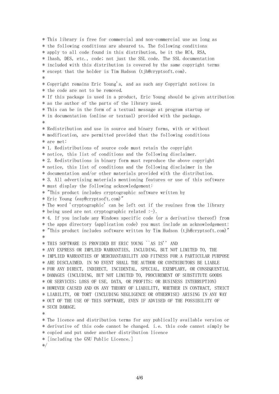\* This library is free for commercial and non-commercial use as long as \* the following conditions are aheared to. The following conditions \* apply to all code found in this distribution, be it the RC4, RSA, \* lhash, DES, etc., code; not just the SSL code. The SSL documentation \* included with this distribution is covered by the same copyright terms \* except that the holder is Tim Hudson (tjh@cryptsoft.com). \* \* Copyright remains Eric Young's, and as such any Copyright notices in \* the code are not to be removed. \* If this package is used in a product, Eric Young should be given attribution \* as the author of the parts of the library used. \* This can be in the form of a textual message at program startup or \* in documentation (online or textual) provided with the package. \* \* Redistribution and use in source and binary forms, with or without \* modification, are permitted provided that the following conditions \* are met: \* 1. Redistributions of source code must retain the copyright \* notice, this list of conditions and the following disclaimer. \* 2. Redistributions in binary form must reproduce the above copyright \* notice, this list of conditions and the following disclaimer in the \* documentation and/or other materials provided with the distribution. \* 3. All advertising materials mentioning features or use of this software \* must display the following acknowledgement: \* "This product includes cryptographic software written by \* Eric Young (eay@cryptsoft.com)" \* The word 'cryptographic' can be left out if the rouines from the library \* being used are not cryptographic related :-). \* 4. If you include any Windows specific code (or a derivative thereof) from \* the apps directory (application code) you must include an acknowledgement: \* "This product includes software written by Tim Hudson (tjh@cryptsoft.com)" \* \* THIS SOFTWARE IS PROVIDED BY ERIC YOUNG ``AS IS'' AND \* ANY EXPRESS OR IMPLIED WARRANTIES, INCLUDING, BUT NOT LIMITED TO, THE \* IMPLIED WARRANTIES OF MERCHANTABILITY AND FITNESS FOR A PARTICULAR PURPOSE \* ARE DISCLAIMED. IN NO EVENT SHALL THE AUTHOR OR CONTRIBUTORS BE LIABLE \* FOR ANY DIRECT, INDIRECT, INCIDENTAL, SPECIAL, EXEMPLARY, OR CONSEQUENTIAL \* DAMAGES (INCLUDING, BUT NOT LIMITED TO, PROCUREMENT OF SUBSTITUTE GOODS \* OR SERVICES; LOSS OF USE, DATA, OR PROFITS; OR BUSINESS INTERRUPTION) \* HOWEVER CAUSED AND ON ANY THEORY OF LIABILITY, WHETHER IN CONTRACT, STRICT \* LIABILITY, OR TORT (INCLUDING NEGLIGENCE OR OTHERWISE) ARISING IN ANY WAY \* OUT OF THE USE OF THIS SOFTWARE, EVEN IF ADVISED OF THE POSSIBILITY OF \* SUCH DAMAGE. \* \* The licence and distribution terms for any publically available version or \* derivative of this code cannot be changed. i.e. this code cannot simply be \* copied and put under another distribution licence

\* [including the GNU Public Licence.]

\*/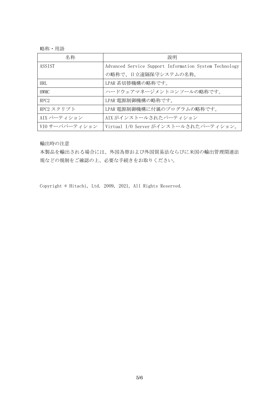略称・用語

| 名称               | 説明                                                     |
|------------------|--------------------------------------------------------|
| ASSIST           | Advanced Service Support Information System Technology |
|                  | の略称で、日立遠隔保守システムの名称。                                    |
| <b>HRL</b>       | LPAR 系切替機構の略称です。                                       |
| <b>HWMC</b>      | ハードウェアマネージメントコンソールの略称です。                               |
| RPC <sub>2</sub> | LPAR 電源制御機構の略称です。                                      |
| RPC2 スクリプト       | LPAR 電源制御機構に付属のプログラムの略称です。                             |
| AIX パーティション      | AIX がインストールされたパーティション                                  |
| VIO サーバパーティション   | Virtual I/0 Server がインストールされたパーティション。                  |

輸出時の注意

本製品を輸出される場合には、外国為替および外国貿易法ならびに米国の輸出管理関連法 規などの規制をご確認の上、必要な手続きをお取りください。

Copyright © Hitachi, Ltd. 2009, 2021, All Rights Reserved.